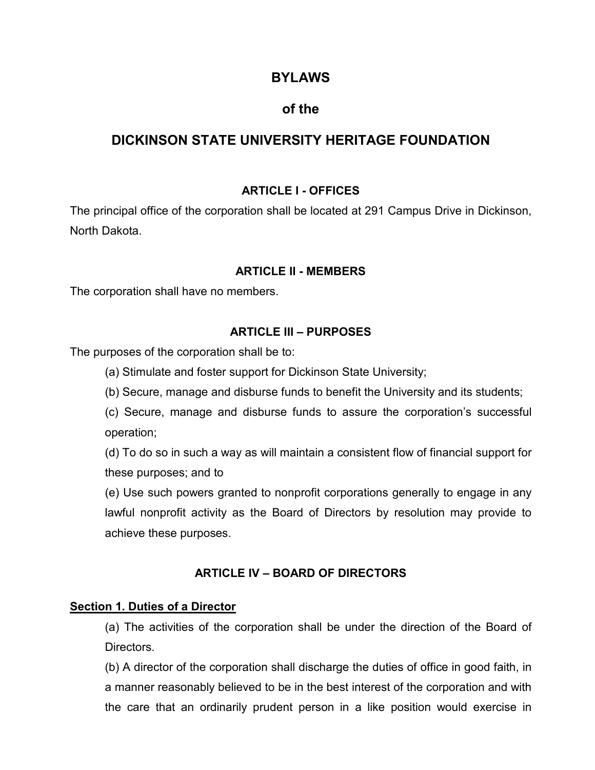# **BYLAWS**

# **of the**

# **DICKINSON STATE UNIVERSITY HERITAGE FOUNDATION**

## **ARTICLE I - OFFICES**

The principal office of the corporation shall be located at 291 Campus Drive in Dickinson, North Dakota.

### **ARTICLE II - MEMBERS**

The corporation shall have no members.

### **ARTICLE III – PURPOSES**

The purposes of the corporation shall be to:

- (a) Stimulate and foster support for Dickinson State University;
- (b) Secure, manage and disburse funds to benefit the University and its students;

(c) Secure, manage and disburse funds to assure the corporation's successful operation;

(d) To do so in such a way as will maintain a consistent flow of financial support for these purposes; and to

(e) Use such powers granted to nonprofit corporations generally to engage in any lawful nonprofit activity as the Board of Directors by resolution may provide to achieve these purposes.

### **ARTICLE IV – BOARD OF DIRECTORS**

### **Section 1. Duties of a Director**

(a) The activities of the corporation shall be under the direction of the Board of Directors.

(b) A director of the corporation shall discharge the duties of office in good faith, in a manner reasonably believed to be in the best interest of the corporation and with the care that an ordinarily prudent person in a like position would exercise in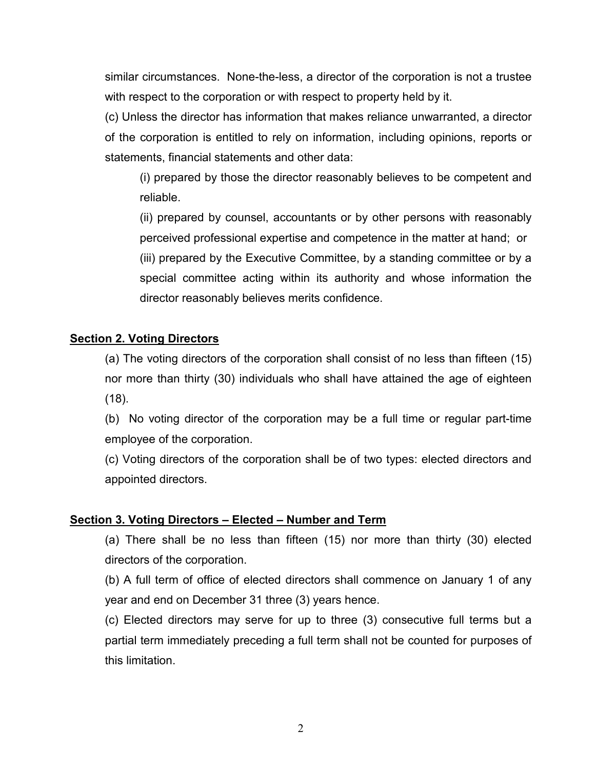similar circumstances. None-the-less, a director of the corporation is not a trustee with respect to the corporation or with respect to property held by it.

(c) Unless the director has information that makes reliance unwarranted, a director of the corporation is entitled to rely on information, including opinions, reports or statements, financial statements and other data:

(i) prepared by those the director reasonably believes to be competent and reliable.

(ii) prepared by counsel, accountants or by other persons with reasonably perceived professional expertise and competence in the matter at hand; or (iii) prepared by the Executive Committee, by a standing committee or by a special committee acting within its authority and whose information the director reasonably believes merits confidence.

## **Section 2. Voting Directors**

(a) The voting directors of the corporation shall consist of no less than fifteen (15) nor more than thirty (30) individuals who shall have attained the age of eighteen (18).

(b) No voting director of the corporation may be a full time or regular part-time employee of the corporation.

(c) Voting directors of the corporation shall be of two types: elected directors and appointed directors.

### **Section 3. Voting Directors – Elected – Number and Term**

(a) There shall be no less than fifteen (15) nor more than thirty (30) elected directors of the corporation.

(b) A full term of office of elected directors shall commence on January 1 of any year and end on December 31 three (3) years hence.

(c) Elected directors may serve for up to three (3) consecutive full terms but a partial term immediately preceding a full term shall not be counted for purposes of this limitation.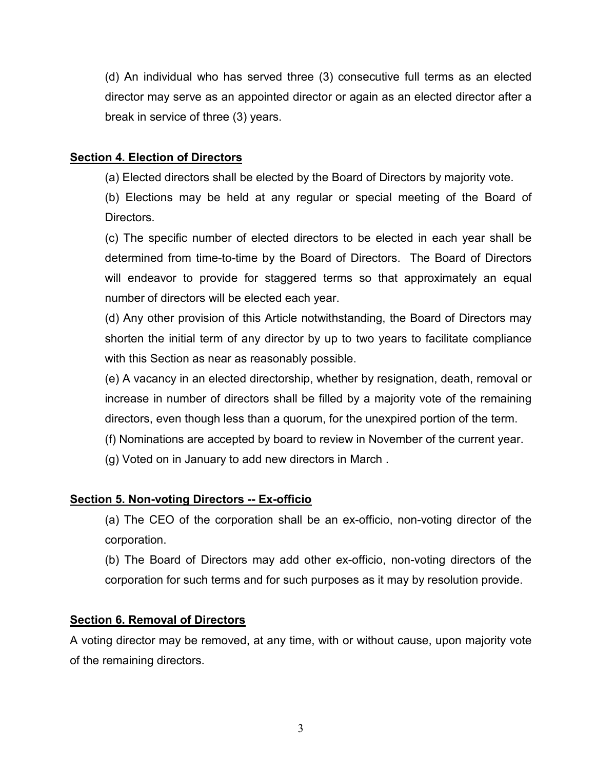(d) An individual who has served three (3) consecutive full terms as an elected director may serve as an appointed director or again as an elected director after a break in service of three (3) years.

## **Section 4. Election of Directors**

(a) Elected directors shall be elected by the Board of Directors by majority vote.

(b) Elections may be held at any regular or special meeting of the Board of Directors.

(c) The specific number of elected directors to be elected in each year shall be determined from time-to-time by the Board of Directors. The Board of Directors will endeavor to provide for staggered terms so that approximately an equal number of directors will be elected each year.

(d) Any other provision of this Article notwithstanding, the Board of Directors may shorten the initial term of any director by up to two years to facilitate compliance with this Section as near as reasonably possible.

(e) A vacancy in an elected directorship, whether by resignation, death, removal or increase in number of directors shall be filled by a majority vote of the remaining directors, even though less than a quorum, for the unexpired portion of the term.

(f) Nominations are accepted by board to review in November of the current year.

(g) Voted on in January to add new directors in March .

# **Section 5. Non-voting Directors -- Ex-officio**

- (a) The CEO of the corporation shall be an ex-officio, non-voting director of the corporation.
- (b) The Board of Directors may add other ex-officio, non-voting directors of the corporation for such terms and for such purposes as it may by resolution provide.

### **Section 6. Removal of Directors**

A voting director may be removed, at any time, with or without cause, upon majority vote of the remaining directors.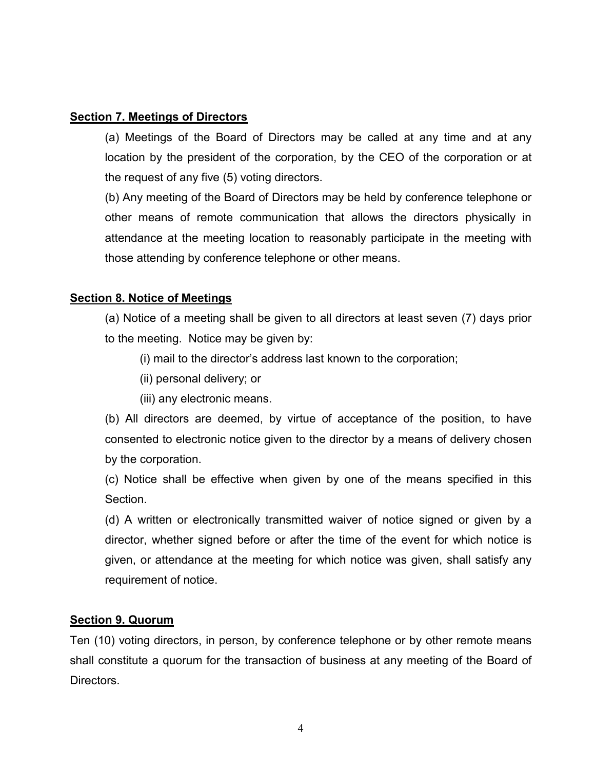## **Section 7. Meetings of Directors**

(a) Meetings of the Board of Directors may be called at any time and at any location by the president of the corporation, by the CEO of the corporation or at the request of any five (5) voting directors.

(b) Any meeting of the Board of Directors may be held by conference telephone or other means of remote communication that allows the directors physically in attendance at the meeting location to reasonably participate in the meeting with those attending by conference telephone or other means.

## **Section 8. Notice of Meetings**

(a) Notice of a meeting shall be given to all directors at least seven (7) days prior to the meeting. Notice may be given by:

(i) mail to the director's address last known to the corporation;

(ii) personal delivery; or

(iii) any electronic means.

(b) All directors are deemed, by virtue of acceptance of the position, to have consented to electronic notice given to the director by a means of delivery chosen by the corporation.

(c) Notice shall be effective when given by one of the means specified in this **Section** 

(d) A written or electronically transmitted waiver of notice signed or given by a director, whether signed before or after the time of the event for which notice is given, or attendance at the meeting for which notice was given, shall satisfy any requirement of notice.

# **Section 9. Quorum**

Ten (10) voting directors, in person, by conference telephone or by other remote means shall constitute a quorum for the transaction of business at any meeting of the Board of Directors.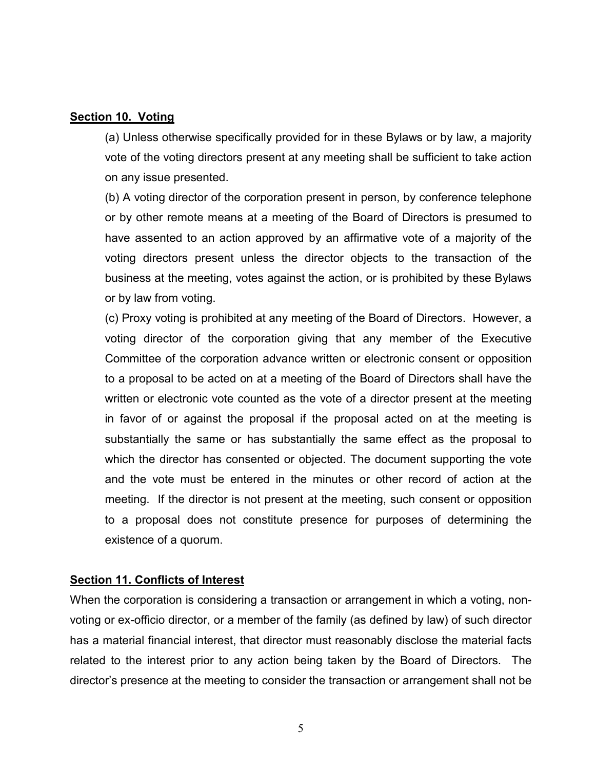### **Section 10. Voting**

(a) Unless otherwise specifically provided for in these Bylaws or by law, a majority vote of the voting directors present at any meeting shall be sufficient to take action on any issue presented.

(b) A voting director of the corporation present in person, by conference telephone or by other remote means at a meeting of the Board of Directors is presumed to have assented to an action approved by an affirmative vote of a majority of the voting directors present unless the director objects to the transaction of the business at the meeting, votes against the action, or is prohibited by these Bylaws or by law from voting.

(c) Proxy voting is prohibited at any meeting of the Board of Directors. However, a voting director of the corporation giving that any member of the Executive Committee of the corporation advance written or electronic consent or opposition to a proposal to be acted on at a meeting of the Board of Directors shall have the written or electronic vote counted as the vote of a director present at the meeting in favor of or against the proposal if the proposal acted on at the meeting is substantially the same or has substantially the same effect as the proposal to which the director has consented or objected. The document supporting the vote and the vote must be entered in the minutes or other record of action at the meeting. If the director is not present at the meeting, such consent or opposition to a proposal does not constitute presence for purposes of determining the existence of a quorum.

### **Section 11. Conflicts of Interest**

When the corporation is considering a transaction or arrangement in which a voting, nonvoting or ex-officio director, or a member of the family (as defined by law) of such director has a material financial interest, that director must reasonably disclose the material facts related to the interest prior to any action being taken by the Board of Directors. The director's presence at the meeting to consider the transaction or arrangement shall not be

5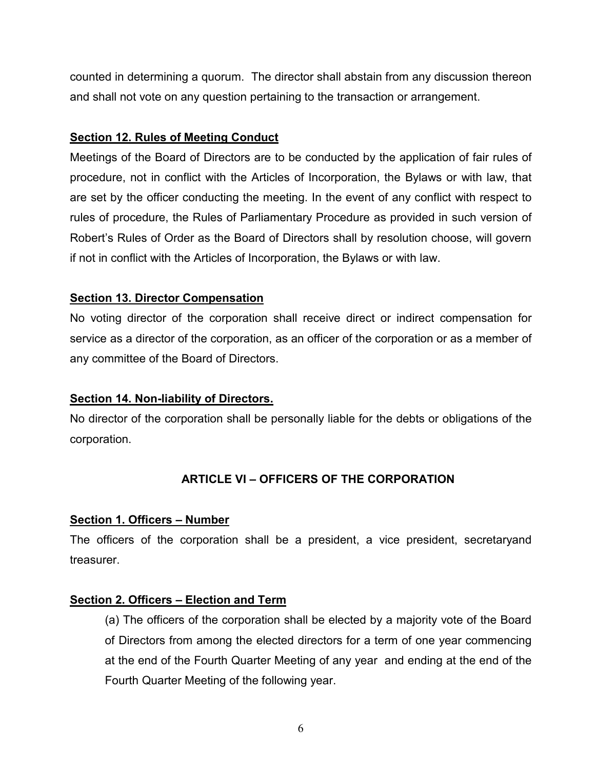counted in determining a quorum. The director shall abstain from any discussion thereon and shall not vote on any question pertaining to the transaction or arrangement.

## **Section 12. Rules of Meeting Conduct**

Meetings of the Board of Directors are to be conducted by the application of fair rules of procedure, not in conflict with the Articles of Incorporation, the Bylaws or with law, that are set by the officer conducting the meeting. In the event of any conflict with respect to rules of procedure, the Rules of Parliamentary Procedure as provided in such version of Robert's Rules of Order as the Board of Directors shall by resolution choose, will govern if not in conflict with the Articles of Incorporation, the Bylaws or with law.

## **Section 13. Director Compensation**

No voting director of the corporation shall receive direct or indirect compensation for service as a director of the corporation, as an officer of the corporation or as a member of any committee of the Board of Directors.

# **Section 14. Non-liability of Directors.**

No director of the corporation shall be personally liable for the debts or obligations of the corporation.

# **ARTICLE VI – OFFICERS OF THE CORPORATION**

### **Section 1. Officers – Number**

The officers of the corporation shall be a president, a vice president, secretaryand treasurer.

# **Section 2. Officers – Election and Term**

(a) The officers of the corporation shall be elected by a majority vote of the Board of Directors from among the elected directors for a term of one year commencing at the end of the Fourth Quarter Meeting of any year and ending at the end of the Fourth Quarter Meeting of the following year.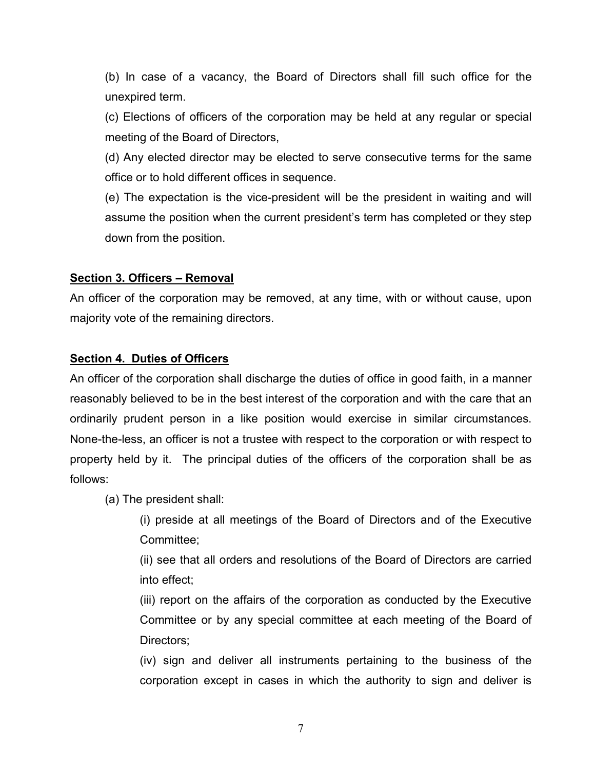(b) In case of a vacancy, the Board of Directors shall fill such office for the unexpired term.

(c) Elections of officers of the corporation may be held at any regular or special meeting of the Board of Directors,

(d) Any elected director may be elected to serve consecutive terms for the same office or to hold different offices in sequence.

(e) The expectation is the vice-president will be the president in waiting and will assume the position when the current president's term has completed or they step down from the position.

## **Section 3. Officers – Removal**

An officer of the corporation may be removed, at any time, with or without cause, upon majority vote of the remaining directors.

## **Section 4. Duties of Officers**

An officer of the corporation shall discharge the duties of office in good faith, in a manner reasonably believed to be in the best interest of the corporation and with the care that an ordinarily prudent person in a like position would exercise in similar circumstances. None-the-less, an officer is not a trustee with respect to the corporation or with respect to property held by it. The principal duties of the officers of the corporation shall be as follows:

(a) The president shall:

(i) preside at all meetings of the Board of Directors and of the Executive Committee;

(ii) see that all orders and resolutions of the Board of Directors are carried into effect;

(iii) report on the affairs of the corporation as conducted by the Executive Committee or by any special committee at each meeting of the Board of Directors;

(iv) sign and deliver all instruments pertaining to the business of the corporation except in cases in which the authority to sign and deliver is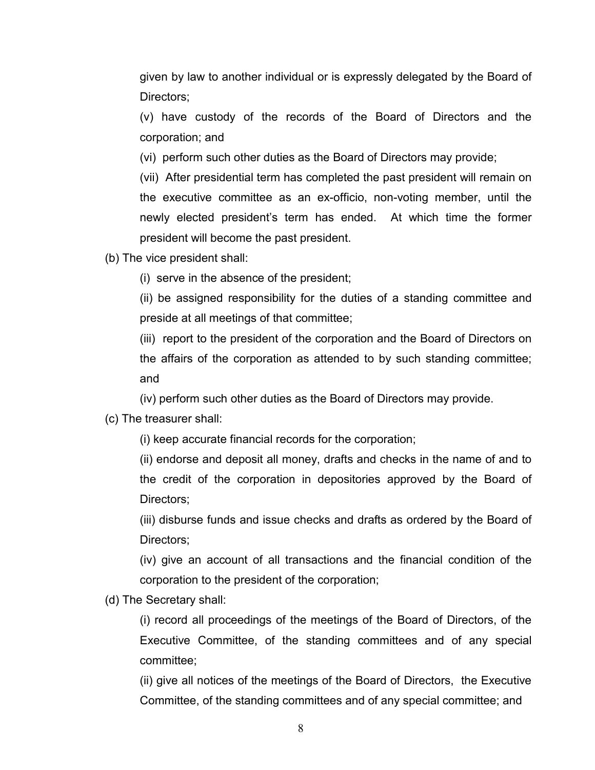given by law to another individual or is expressly delegated by the Board of Directors;

(v) have custody of the records of the Board of Directors and the corporation; and

(vi) perform such other duties as the Board of Directors may provide;

(vii) After presidential term has completed the past president will remain on the executive committee as an ex-officio, non-voting member, until the newly elected president's term has ended. At which time the former president will become the past president.

(b) The vice president shall:

(i) serve in the absence of the president;

(ii) be assigned responsibility for the duties of a standing committee and preside at all meetings of that committee;

(iii) report to the president of the corporation and the Board of Directors on the affairs of the corporation as attended to by such standing committee; and

(iv) perform such other duties as the Board of Directors may provide.

(c) The treasurer shall:

(i) keep accurate financial records for the corporation;

(ii) endorse and deposit all money, drafts and checks in the name of and to the credit of the corporation in depositories approved by the Board of Directors;

(iii) disburse funds and issue checks and drafts as ordered by the Board of Directors;

(iv) give an account of all transactions and the financial condition of the corporation to the president of the corporation;

(d) The Secretary shall:

(i) record all proceedings of the meetings of the Board of Directors, of the Executive Committee, of the standing committees and of any special committee;

(ii) give all notices of the meetings of the Board of Directors, the Executive Committee, of the standing committees and of any special committee; and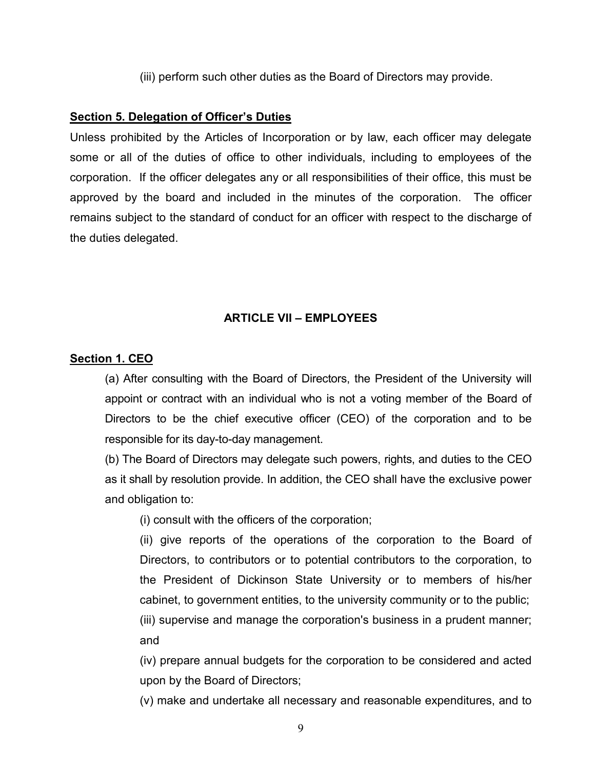(iii) perform such other duties as the Board of Directors may provide.

### **Section 5. Delegation of Officer's Duties**

Unless prohibited by the Articles of Incorporation or by law, each officer may delegate some or all of the duties of office to other individuals, including to employees of the corporation. If the officer delegates any or all responsibilities of their office, this must be approved by the board and included in the minutes of the corporation. The officer remains subject to the standard of conduct for an officer with respect to the discharge of the duties delegated.

### **ARTICLE VII – EMPLOYEES**

### **Section 1. CEO**

(a) After consulting with the Board of Directors, the President of the University will appoint or contract with an individual who is not a voting member of the Board of Directors to be the chief executive officer (CEO) of the corporation and to be responsible for its day-to-day management.

(b) The Board of Directors may delegate such powers, rights, and duties to the CEO as it shall by resolution provide. In addition, the CEO shall have the exclusive power and obligation to:

(i) consult with the officers of the corporation;

(ii) give reports of the operations of the corporation to the Board of Directors, to contributors or to potential contributors to the corporation, to the President of Dickinson State University or to members of his/her cabinet, to government entities, to the university community or to the public; (iii) supervise and manage the corporation's business in a prudent manner; and

(iv) prepare annual budgets for the corporation to be considered and acted upon by the Board of Directors;

(v) make and undertake all necessary and reasonable expenditures, and to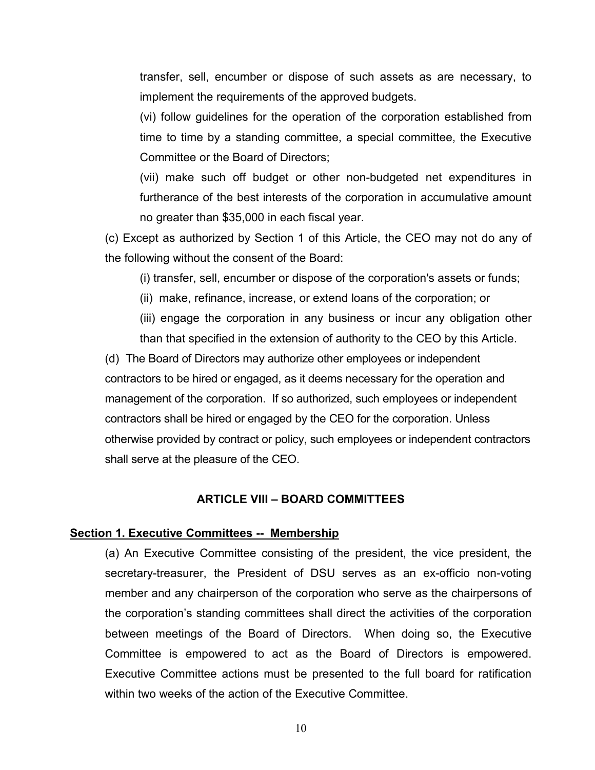transfer, sell, encumber or dispose of such assets as are necessary, to implement the requirements of the approved budgets.

(vi) follow guidelines for the operation of the corporation established from time to time by a standing committee, a special committee, the Executive Committee or the Board of Directors;

(vii) make such off budget or other non-budgeted net expenditures in furtherance of the best interests of the corporation in accumulative amount no greater than \$35,000 in each fiscal year.

(c) Except as authorized by Section 1 of this Article, the CEO may not do any of the following without the consent of the Board:

(i) transfer, sell, encumber or dispose of the corporation's assets or funds;

(ii) make, refinance, increase, or extend loans of the corporation; or

(iii) engage the corporation in any business or incur any obligation other than that specified in the extension of authority to the CEO by this Article.

(d) The Board of Directors may authorize other employees or independent contractors to be hired or engaged, as it deems necessary for the operation and management of the corporation. If so authorized, such employees or independent contractors shall be hired or engaged by the CEO for the corporation. Unless otherwise provided by contract or policy, such employees or independent contractors shall serve at the pleasure of the CEO.

### **ARTICLE VIII – BOARD COMMITTEES**

### **Section 1. Executive Committees -- Membership**

(a) An Executive Committee consisting of the president, the vice president, the secretary-treasurer, the President of DSU serves as an ex-officio non-voting member and any chairperson of the corporation who serve as the chairpersons of the corporation's standing committees shall direct the activities of the corporation between meetings of the Board of Directors. When doing so, the Executive Committee is empowered to act as the Board of Directors is empowered. Executive Committee actions must be presented to the full board for ratification within two weeks of the action of the Executive Committee.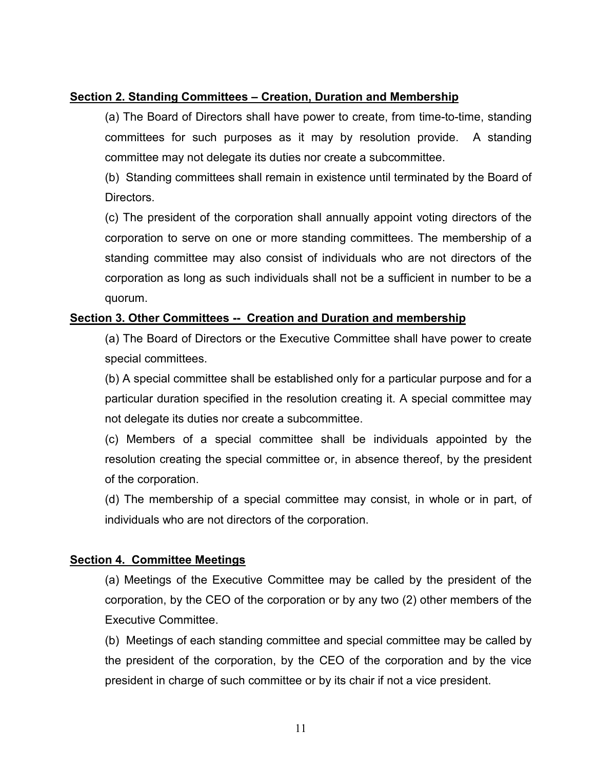## **Section 2. Standing Committees – Creation, Duration and Membership**

(a) The Board of Directors shall have power to create, from time-to-time, standing committees for such purposes as it may by resolution provide. A standing committee may not delegate its duties nor create a subcommittee.

(b) Standing committees shall remain in existence until terminated by the Board of Directors.

(c) The president of the corporation shall annually appoint voting directors of the corporation to serve on one or more standing committees. The membership of a standing committee may also consist of individuals who are not directors of the corporation as long as such individuals shall not be a sufficient in number to be a quorum.

## **Section 3. Other Committees -- Creation and Duration and membership**

(a) The Board of Directors or the Executive Committee shall have power to create special committees.

(b) A special committee shall be established only for a particular purpose and for a particular duration specified in the resolution creating it. A special committee may not delegate its duties nor create a subcommittee.

(c) Members of a special committee shall be individuals appointed by the resolution creating the special committee or, in absence thereof, by the president of the corporation.

(d) The membership of a special committee may consist, in whole or in part, of individuals who are not directors of the corporation.

### **Section 4. Committee Meetings**

(a) Meetings of the Executive Committee may be called by the president of the corporation, by the CEO of the corporation or by any two (2) other members of the Executive Committee.

(b) Meetings of each standing committee and special committee may be called by the president of the corporation, by the CEO of the corporation and by the vice president in charge of such committee or by its chair if not a vice president.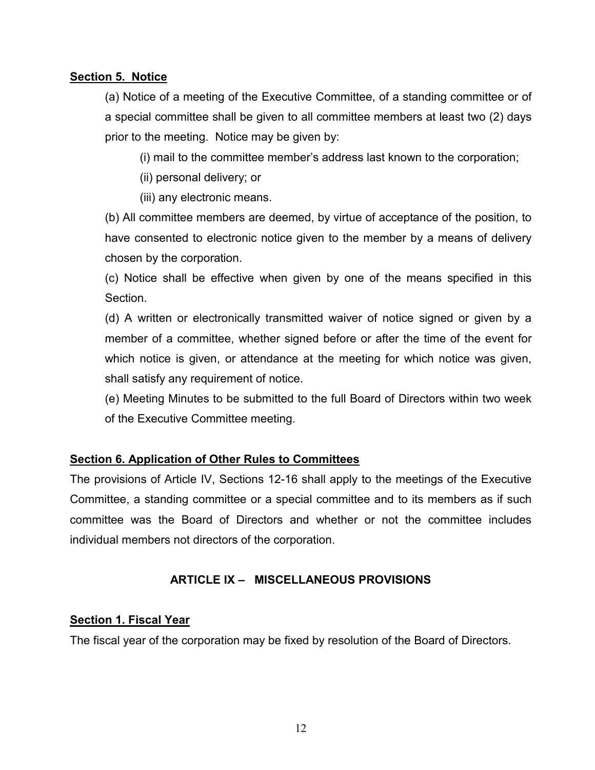## **Section 5. Notice**

(a) Notice of a meeting of the Executive Committee, of a standing committee or of a special committee shall be given to all committee members at least two (2) days prior to the meeting. Notice may be given by:

(i) mail to the committee member's address last known to the corporation;

(ii) personal delivery; or

(iii) any electronic means.

(b) All committee members are deemed, by virtue of acceptance of the position, to have consented to electronic notice given to the member by a means of delivery chosen by the corporation.

(c) Notice shall be effective when given by one of the means specified in this Section.

(d) A written or electronically transmitted waiver of notice signed or given by a member of a committee, whether signed before or after the time of the event for which notice is given, or attendance at the meeting for which notice was given, shall satisfy any requirement of notice.

(e) Meeting Minutes to be submitted to the full Board of Directors within two week of the Executive Committee meeting.

# **Section 6. Application of Other Rules to Committees**

The provisions of Article IV, Sections 12-16 shall apply to the meetings of the Executive Committee, a standing committee or a special committee and to its members as if such committee was the Board of Directors and whether or not the committee includes individual members not directors of the corporation.

# **ARTICLE IX – MISCELLANEOUS PROVISIONS**

### **Section 1. Fiscal Year**

The fiscal year of the corporation may be fixed by resolution of the Board of Directors.